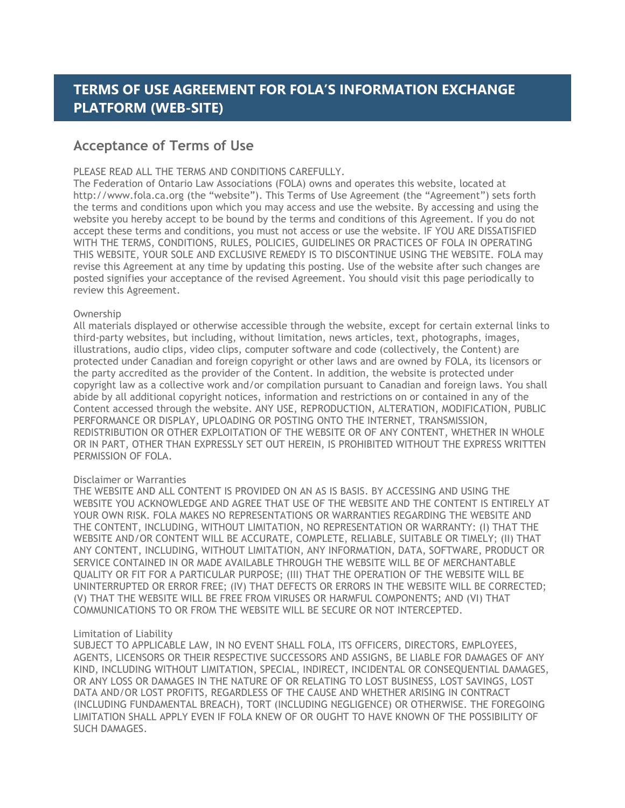# **TERMS OF USE AGREEMENT FOR FOLA'S INFORMATION EXCHANGE PLATFORM (WEB-SITE)**

# **Acceptance of Terms of Use**

# PLEASE READ ALL THE TERMS AND CONDITIONS CAREFULLY.

The Federation of Ontario Law Associations (FOLA) owns and operates this website, located at http://www.fola.ca.org (the "website"). This Terms of Use Agreement (the "Agreement") sets forth the terms and conditions upon which you may access and use the website. By accessing and using the website you hereby accept to be bound by the terms and conditions of this Agreement. If you do not accept these terms and conditions, you must not access or use the website. IF YOU ARE DISSATISFIED WITH THE TERMS, CONDITIONS, RULES, POLICIES, GUIDELINES OR PRACTICES OF FOLA IN OPERATING THIS WEBSITE, YOUR SOLE AND EXCLUSIVE REMEDY IS TO DISCONTINUE USING THE WEBSITE. FOLA may revise this Agreement at any time by updating this posting. Use of the website after such changes are posted signifies your acceptance of the revised Agreement. You should visit this page periodically to review this Agreement.

# Ownership

All materials displayed or otherwise accessible through the website, except for certain external links to third-party websites, but including, without limitation, news articles, text, photographs, images, illustrations, audio clips, video clips, computer software and code (collectively, the Content) are protected under Canadian and foreign copyright or other laws and are owned by FOLA, its licensors or the party accredited as the provider of the Content. In addition, the website is protected under copyright law as a collective work and/or compilation pursuant to Canadian and foreign laws. You shall abide by all additional copyright notices, information and restrictions on or contained in any of the Content accessed through the website. ANY USE, REPRODUCTION, ALTERATION, MODIFICATION, PUBLIC PERFORMANCE OR DISPLAY, UPLOADING OR POSTING ONTO THE INTERNET, TRANSMISSION, REDISTRIBUTION OR OTHER EXPLOITATION OF THE WEBSITE OR OF ANY CONTENT, WHETHER IN WHOLE OR IN PART, OTHER THAN EXPRESSLY SET OUT HEREIN, IS PROHIBITED WITHOUT THE EXPRESS WRITTEN PERMISSION OF FOLA.

# Disclaimer or Warranties

THE WEBSITE AND ALL CONTENT IS PROVIDED ON AN AS IS BASIS. BY ACCESSING AND USING THE WEBSITE YOU ACKNOWLEDGE AND AGREE THAT USE OF THE WEBSITE AND THE CONTENT IS ENTIRELY AT YOUR OWN RISK. FOLA MAKES NO REPRESENTATIONS OR WARRANTIES REGARDING THE WEBSITE AND THE CONTENT, INCLUDING, WITHOUT LIMITATION, NO REPRESENTATION OR WARRANTY: (I) THAT THE WEBSITE AND/OR CONTENT WILL BE ACCURATE, COMPLETE, RELIABLE, SUITABLE OR TIMELY; (II) THAT ANY CONTENT, INCLUDING, WITHOUT LIMITATION, ANY INFORMATION, DATA, SOFTWARE, PRODUCT OR SERVICE CONTAINED IN OR MADE AVAILABLE THROUGH THE WEBSITE WILL BE OF MERCHANTABLE QUALITY OR FIT FOR A PARTICULAR PURPOSE; (III) THAT THE OPERATION OF THE WEBSITE WILL BE UNINTERRUPTED OR ERROR FREE; (IV) THAT DEFECTS OR ERRORS IN THE WEBSITE WILL BE CORRECTED; (V) THAT THE WEBSITE WILL BE FREE FROM VIRUSES OR HARMFUL COMPONENTS; AND (VI) THAT COMMUNICATIONS TO OR FROM THE WEBSITE WILL BE SECURE OR NOT INTERCEPTED.

# Limitation of Liability

SUBJECT TO APPLICABLE LAW, IN NO EVENT SHALL FOLA, ITS OFFICERS, DIRECTORS, EMPLOYEES, AGENTS, LICENSORS OR THEIR RESPECTIVE SUCCESSORS AND ASSIGNS, BE LIABLE FOR DAMAGES OF ANY KIND, INCLUDING WITHOUT LIMITATION, SPECIAL, INDIRECT, INCIDENTAL OR CONSEQUENTIAL DAMAGES, OR ANY LOSS OR DAMAGES IN THE NATURE OF OR RELATING TO LOST BUSINESS, LOST SAVINGS, LOST DATA AND/OR LOST PROFITS, REGARDLESS OF THE CAUSE AND WHETHER ARISING IN CONTRACT (INCLUDING FUNDAMENTAL BREACH), TORT (INCLUDING NEGLIGENCE) OR OTHERWISE. THE FOREGOING LIMITATION SHALL APPLY EVEN IF FOLA KNEW OF OR OUGHT TO HAVE KNOWN OF THE POSSIBILITY OF SUCH DAMAGES.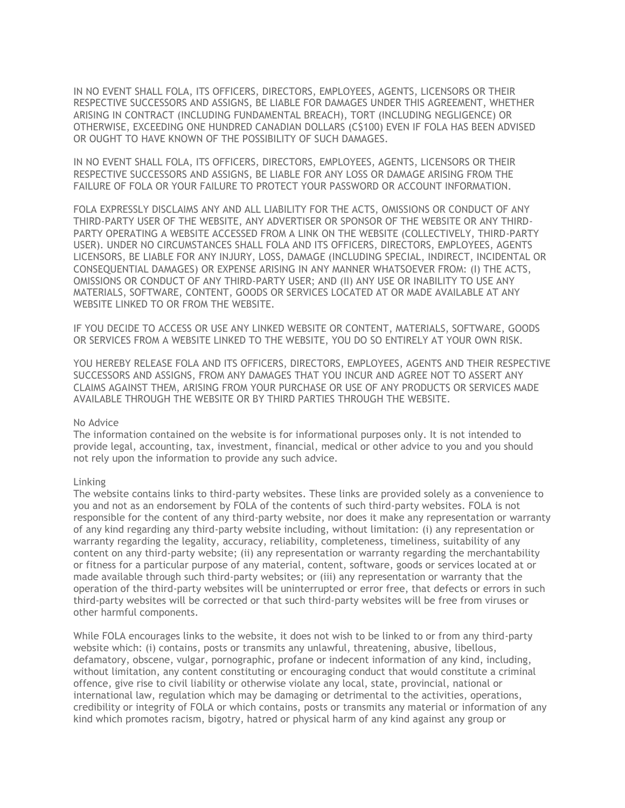IN NO EVENT SHALL FOLA, ITS OFFICERS, DIRECTORS, EMPLOYEES, AGENTS, LICENSORS OR THEIR RESPECTIVE SUCCESSORS AND ASSIGNS, BE LIABLE FOR DAMAGES UNDER THIS AGREEMENT, WHETHER ARISING IN CONTRACT (INCLUDING FUNDAMENTAL BREACH), TORT (INCLUDING NEGLIGENCE) OR OTHERWISE, EXCEEDING ONE HUNDRED CANADIAN DOLLARS (C\$100) EVEN IF FOLA HAS BEEN ADVISED OR OUGHT TO HAVE KNOWN OF THE POSSIBILITY OF SUCH DAMAGES.

IN NO EVENT SHALL FOLA, ITS OFFICERS, DIRECTORS, EMPLOYEES, AGENTS, LICENSORS OR THEIR RESPECTIVE SUCCESSORS AND ASSIGNS, BE LIABLE FOR ANY LOSS OR DAMAGE ARISING FROM THE FAILURE OF FOLA OR YOUR FAILURE TO PROTECT YOUR PASSWORD OR ACCOUNT INFORMATION.

FOLA EXPRESSLY DISCLAIMS ANY AND ALL LIABILITY FOR THE ACTS, OMISSIONS OR CONDUCT OF ANY THIRD-PARTY USER OF THE WEBSITE, ANY ADVERTISER OR SPONSOR OF THE WEBSITE OR ANY THIRD-PARTY OPERATING A WEBSITE ACCESSED FROM A LINK ON THE WEBSITE (COLLECTIVELY, THIRD-PARTY USER). UNDER NO CIRCUMSTANCES SHALL FOLA AND ITS OFFICERS, DIRECTORS, EMPLOYEES, AGENTS LICENSORS, BE LIABLE FOR ANY INJURY, LOSS, DAMAGE (INCLUDING SPECIAL, INDIRECT, INCIDENTAL OR CONSEQUENTIAL DAMAGES) OR EXPENSE ARISING IN ANY MANNER WHATSOEVER FROM: (I) THE ACTS, OMISSIONS OR CONDUCT OF ANY THIRD-PARTY USER; AND (II) ANY USE OR INABILITY TO USE ANY MATERIALS, SOFTWARE, CONTENT, GOODS OR SERVICES LOCATED AT OR MADE AVAILABLE AT ANY WEBSITE LINKED TO OR FROM THE WEBSITE.

IF YOU DECIDE TO ACCESS OR USE ANY LINKED WEBSITE OR CONTENT, MATERIALS, SOFTWARE, GOODS OR SERVICES FROM A WEBSITE LINKED TO THE WEBSITE, YOU DO SO ENTIRELY AT YOUR OWN RISK.

YOU HEREBY RELEASE FOLA AND ITS OFFICERS, DIRECTORS, EMPLOYEES, AGENTS AND THEIR RESPECTIVE SUCCESSORS AND ASSIGNS, FROM ANY DAMAGES THAT YOU INCUR AND AGREE NOT TO ASSERT ANY CLAIMS AGAINST THEM, ARISING FROM YOUR PURCHASE OR USE OF ANY PRODUCTS OR SERVICES MADE AVAILABLE THROUGH THE WEBSITE OR BY THIRD PARTIES THROUGH THE WEBSITE.

#### No Advice

The information contained on the website is for informational purposes only. It is not intended to provide legal, accounting, tax, investment, financial, medical or other advice to you and you should not rely upon the information to provide any such advice.

#### Linking

The website contains links to third-party websites. These links are provided solely as a convenience to you and not as an endorsement by FOLA of the contents of such third-party websites. FOLA is not responsible for the content of any third-party website, nor does it make any representation or warranty of any kind regarding any third-party website including, without limitation: (i) any representation or warranty regarding the legality, accuracy, reliability, completeness, timeliness, suitability of any content on any third-party website; (ii) any representation or warranty regarding the merchantability or fitness for a particular purpose of any material, content, software, goods or services located at or made available through such third-party websites; or (iii) any representation or warranty that the operation of the third-party websites will be uninterrupted or error free, that defects or errors in such third-party websites will be corrected or that such third-party websites will be free from viruses or other harmful components.

While FOLA encourages links to the website, it does not wish to be linked to or from any third-party website which: (i) contains, posts or transmits any unlawful, threatening, abusive, libellous, defamatory, obscene, vulgar, pornographic, profane or indecent information of any kind, including, without limitation, any content constituting or encouraging conduct that would constitute a criminal offence, give rise to civil liability or otherwise violate any local, state, provincial, national or international law, regulation which may be damaging or detrimental to the activities, operations, credibility or integrity of FOLA or which contains, posts or transmits any material or information of any kind which promotes racism, bigotry, hatred or physical harm of any kind against any group or